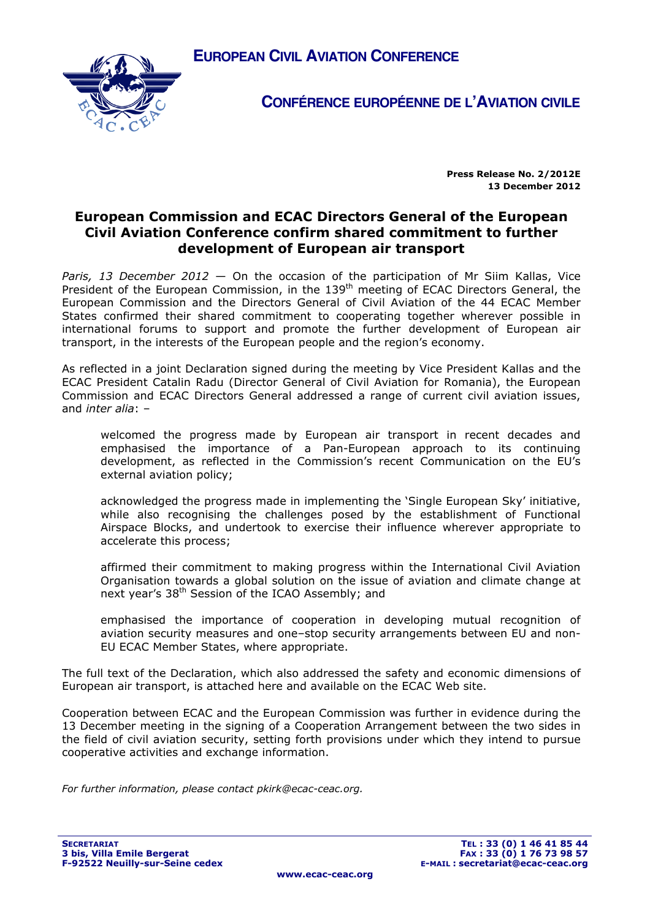



**CONFÉRENCE EUROPÉENNE DE L'AVIATION CIVILE**

**Press Release No. 2/2012E 13 December 2012**

## **European Commission and ECAC Directors General of the European Civil Aviation Conference confirm shared commitment to further development of European air transport**

*Paris, 13 December 2012* — On the occasion of the participation of Mr Siim Kallas, Vice President of the European Commission, in the 139<sup>th</sup> meeting of ECAC Directors General, the European Commission and the Directors General of Civil Aviation of the 44 ECAC Member States confirmed their shared commitment to cooperating together wherever possible in international forums to support and promote the further development of European air transport, in the interests of the European people and the region's economy.

As reflected in a joint Declaration signed during the meeting by Vice President Kallas and the ECAC President Catalin Radu (Director General of Civil Aviation for Romania), the European Commission and ECAC Directors General addressed a range of current civil aviation issues, and *inter alia*: –

welcomed the progress made by European air transport in recent decades and emphasised the importance of a Pan-European approach to its continuing development, as reflected in the Commission's recent Communication on the EU's external aviation policy;

acknowledged the progress made in implementing the 'Single European Sky' initiative, while also recognising the challenges posed by the establishment of Functional Airspace Blocks, and undertook to exercise their influence wherever appropriate to accelerate this process;

affirmed their commitment to making progress within the International Civil Aviation Organisation towards a global solution on the issue of aviation and climate change at next year's 38th Session of the ICAO Assembly; and

emphasised the importance of cooperation in developing mutual recognition of aviation security measures and one–stop security arrangements between EU and non-EU ECAC Member States, where appropriate.

The full text of the Declaration, which also addressed the safety and economic dimensions of European air transport, is attached here and available on the ECAC Web site.

Cooperation between ECAC and the European Commission was further in evidence during the 13 December meeting in the signing of a Cooperation Arrangement between the two sides in the field of civil aviation security, setting forth provisions under which they intend to pursue cooperative activities and exchange information.

*For further information, please contact pkirk@ecac-ceac.org.*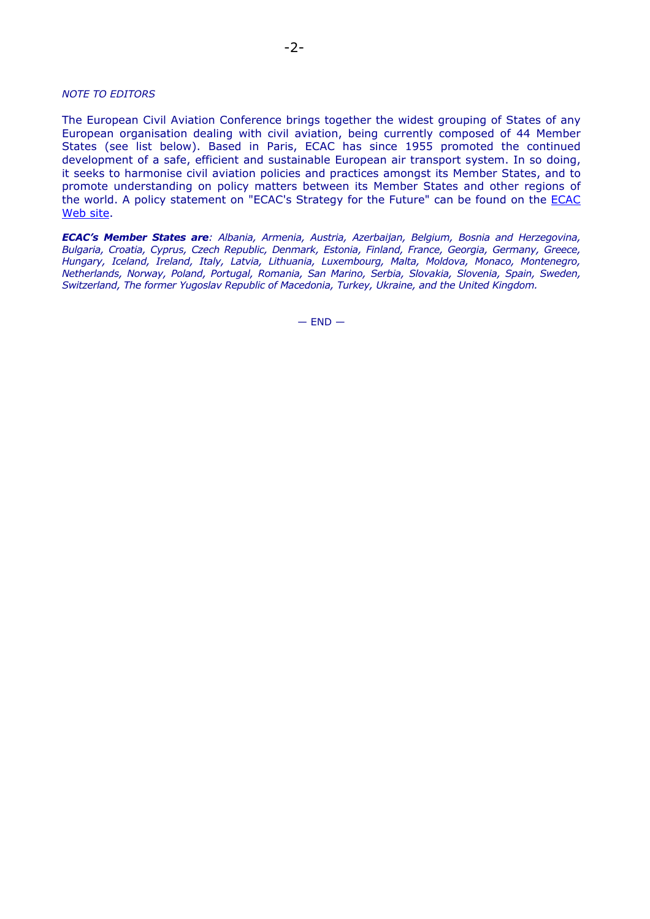#### *NOTE TO EDITORS*

The European Civil Aviation Conference brings together the widest grouping of States of any European organisation dealing with civil aviation, being currently composed of 44 Member States (see list below). Based in Paris, ECAC has since 1955 promoted the continued development of a safe, efficient and sustainable European air transport system. In so doing, it seeks to harmonise civil aviation policies and practices amongst its Member States, and to promote understanding on policy matters between its Member States and other regions of the world. A policy statement on "ECAC's Strategy for the Future" can be found on the ECAC Web site.

*ECAC's Member States are: Albania, Armenia, Austria, Azerbaijan, Belgium, Bosnia and Herzegovina, Bulgaria, Croatia, Cyprus, Czech Republic, Denmark, Estonia, Finland, France, Georgia, Germany, Greece, Hungary, Iceland, Ireland, Italy, Latvia, Lithuania, Luxembourg, Malta, Moldova, Monaco, Montenegro, Netherlands, Norway, Poland, Portugal, Romania, San Marino, Serbia, Slovakia, Slovenia, Spain, Sweden, Switzerland, The former Yugoslav Republic of Macedonia, Turkey, Ukraine, and the United Kingdom.* 

 $-$  END  $-$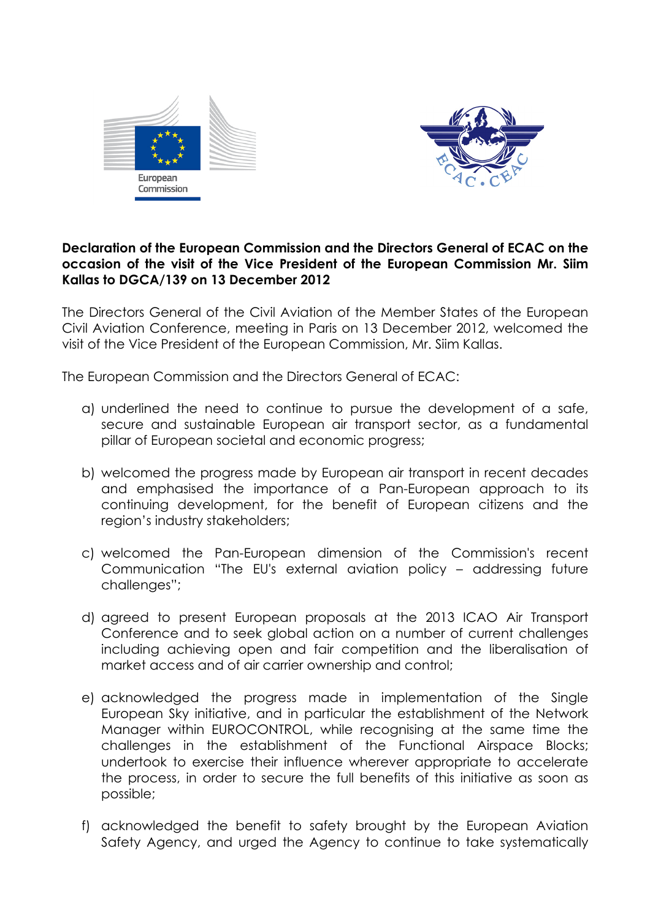



### **Declaration of the European Commission and the Directors General of ECAC on the occasion of the visit of the Vice President of the European Commission Mr. Siim Kallas to DGCA/139 on 13 December 2012**

The Directors General of the Civil Aviation of the Member States of the European Civil Aviation Conference, meeting in Paris on 13 December 2012, welcomed the visit of the Vice President of the European Commission, Mr. Siim Kallas.

The European Commission and the Directors General of ECAC:

- a) underlined the need to continue to pursue the development of a safe, secure and sustainable European air transport sector, as a fundamental pillar of European societal and economic progress;
- b) welcomed the progress made by European air transport in recent decades and emphasised the importance of a Pan-European approach to its continuing development, for the benefit of European citizens and the region's industry stakeholders;
- c) welcomed the Pan-European dimension of the Commission's recent Communication "The EU's external aviation policy – addressing future challenges";
- d) agreed to present European proposals at the 2013 ICAO Air Transport Conference and to seek global action on a number of current challenges including achieving open and fair competition and the liberalisation of market access and of air carrier ownership and control;
- e) acknowledged the progress made in implementation of the Single European Sky initiative, and in particular the establishment of the Network Manager within EUROCONTROL, while recognising at the same time the challenges in the establishment of the Functional Airspace Blocks; undertook to exercise their influence wherever appropriate to accelerate the process, in order to secure the full benefits of this initiative as soon as possible;
- f) acknowledged the benefit to safety brought by the European Aviation Safety Agency, and urged the Agency to continue to take systematically